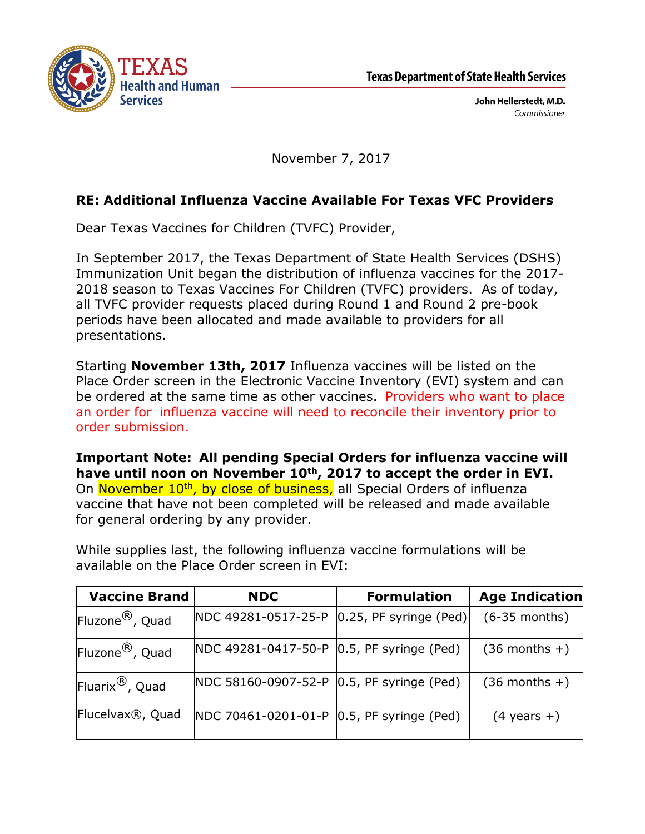

John Hellerstedt, M.D. Commissioner

November 7, 2017

## **RE: Additional Influenza Vaccine Available For Texas VFC Providers**

Dear Texas Vaccines for Children (TVFC) Provider,

In September 2017, the Texas Department of State Health Services (DSHS) Immunization Unit began the distribution of influenza vaccines for the 2017- 2018 season to Texas Vaccines For Children (TVFC) providers. As of today, all TVFC provider requests placed during Round 1 and Round 2 pre-book periods have been allocated and made available to providers for all presentations.

Starting **November 13th, 2017** Influenza vaccines will be listed on the Place Order screen in the Electronic Vaccine Inventory (EVI) system and can be ordered at the same time as other vaccines. Providers who want to place an order for influenza vaccine will need to reconcile their inventory prior to order submission.

**Important Note: All pending Special Orders for influenza vaccine will have until noon on November 10th, 2017 to accept the order in EVI.** On November 10<sup>th</sup>, by close of business, all Special Orders of influenza vaccine that have not been completed will be released and made available for general ordering by any provider.

| <b>Vaccine Brand</b>          | <b>NDC</b>                                  | <b>Formulation</b>        | <b>Age Indication</b>  |
|-------------------------------|---------------------------------------------|---------------------------|------------------------|
| Fluzone <sup>®</sup> , Quad   | NDC 49281-0517-25-P                         | $[0.25, PF$ syringe (Ped) | $(6-35$ months)        |
| Fluzone <sup>®</sup> , Quad   | NDC 49281-0417-50-P   0.5, PF syringe (Ped) |                           | $(36$ months +)        |
| Fluarix $^{\circledR}$ , Quad | NDC 58160-0907-52-P   0.5, PF syringe (Ped) |                           | $(36$ months +)        |
| Flucelvax <sup>®</sup> , Quad | NDC 70461-0201-01-P   0.5, PF syringe (Ped) |                           | $(4 \text{ years } +)$ |

While supplies last, the following influenza vaccine formulations will be available on the Place Order screen in EVI: